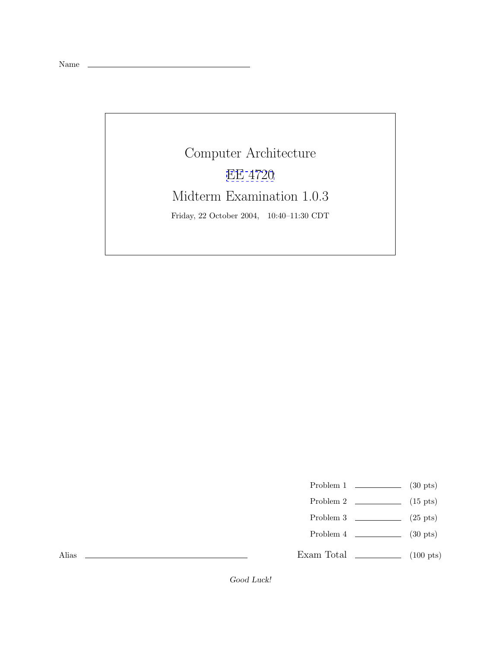Name

Computer Architecture [EE 4720](http://www.ece.lsu.edu/ee4720/) Midterm Examination 1.0.3 Friday, 22 October 2004, 10:40–11:30 CDT

Problem 1  $\qquad \qquad$  (30 pts)

- Problem 2  $\qquad \qquad$  (15 pts)
- Problem 3  $\qquad \qquad$  (25 pts)
- Problem 4  $\qquad \qquad (30 \text{ pts})$

Exam Total  $\qquad \qquad$  (100 pts)

Alias

Good Luck!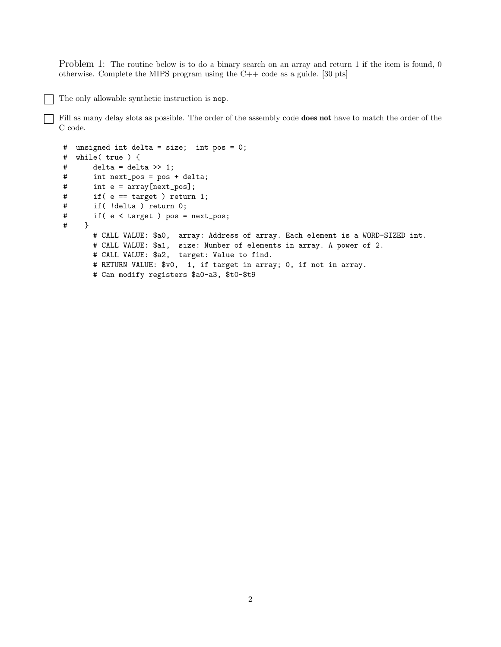Problem 1: The routine below is to do a binary search on an array and return 1 if the item is found, 0 otherwise. Complete the MIPS program using the C++ code as a guide. [30 pts]

The only allowable synthetic instruction is nop.

Fill as many delay slots as possible. The order of the assembly code **does not** have to match the order of the C code.

```
# unsigned int delta = size; int pos = 0;
# while( true ) {
# delta = delta >> 1;
# int next_pos = pos + delta;
# int e = array[next_pos];
# if( e == target ) return 1;
# if( !delta ) return 0;
# if( e < target ) pos = next_pos;
## CALL VALUE: $a0, array: Address of array. Each element is a WORD-SIZED int.
      # CALL VALUE: $a1, size: Number of elements in array. A power of 2.
      # CALL VALUE: $a2, target: Value to find.
      # RETURN VALUE: $v0, 1, if target in array; 0, if not in array.
      # Can modify registers $a0-a3, $t0-$t9
```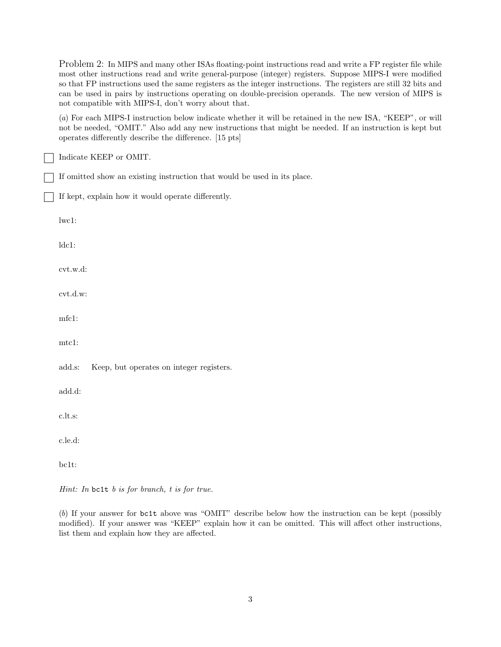Problem 2: In MIPS and many other ISAs floating-point instructions read and write a FP register file while most other instructions read and write general-purpose (integer) registers. Suppose MIPS-I were modified so that FP instructions used the same registers as the integer instructions. The registers are still 32 bits and can be used in pairs by instructions operating on double-precision operands. The new version of MIPS is not compatible with MIPS-I, don't worry about that.

(*a*) For each MIPS-I instruction below indicate whether it will be retained in the new ISA, "KEEP", or will not be needed, "OMIT." Also add any new instructions that might be needed. If an instruction is kept but operates differently describe the difference. [15 pts]

Indicate KEEP or OMIT.

If omitted show an existing instruction that would be used in its place.

If kept, explain how it would operate differently.

lwc1:

ldc1:

cvt.w.d:

cvt.d.w:

mfc1:

mtc1:

add.s: Keep, but operates on integer registers.

add.d:

c.lt.s:

c.le.d:

bc1t:

*Hint: In* bc1t *b is for branch, t is for true.*

(*b*) If your answer for bc1t above was "OMIT" describe below how the instruction can be kept (possibly modified). If your answer was "KEEP" explain how it can be omitted. This will affect other instructions, list them and explain how they are affected.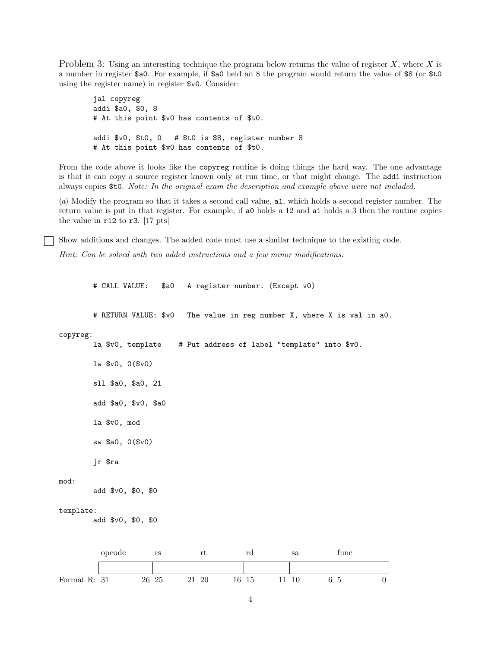Problem 3: Using an interesting technique the program below returns the value of register X, where X is a number in register \$a0. For example, if \$a0 held an 8 the program would return the value of \$8 (or \$t0 using the register name) in register \$v0. Consider:

jal copyreg addi \$a0, \$0, 8 # At this point \$v0 has contents of \$t0. addi \$v0, \$t0, 0 # \$t0 is \$8, register number 8 # At this point \$v0 has contents of \$t0.

From the code above it looks like the copyreg routine is doing things the hard way. The one advantage is that it can copy a source register known only at run time, or that might change. The addi instruction always copies \$t0. *Note: In the original exam the description and example above were not included.*

(*a*) Modify the program so that it takes a second call value, a1, which holds a second register number. The return value is put in that register. For example, if a0 holds a 12 and a1 holds a 3 then the routine copies the value in r12 to r3. [17 pts]

Show additions and changes. The added code must use a similar technique to the existing code.

*Hint: Can be solved with two added instructions and a few minor modifications.*

# CALL VALUE: \$a0 A register number. (Except v0)

# RETURN VALUE: \$v0 The value in reg number X, where X is val in a0.

copyreg:

la \$v0, template # Put address of label "template" into \$v0.

lw \$v0, 0(\$v0)

sll \$a0, \$a0, 21

add \$a0, \$v0, \$a0

la \$v0, mod

sw \$a0, 0(\$v0)

jr \$ra

## mod:

add \$v0, \$0, \$0

## template:

add \$v0, \$0, \$0

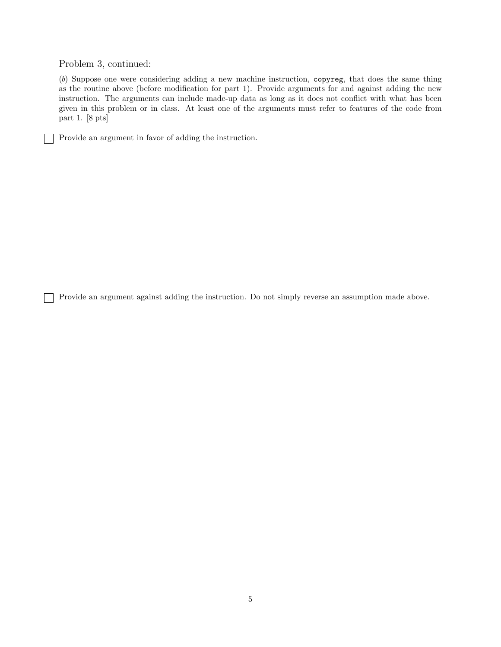Problem 3, continued:

 $\overline{\phantom{a}}$ 

(*b*) Suppose one were considering adding a new machine instruction, copyreg, that does the same thing as the routine above (before modification for part 1). Provide arguments for and against adding the new instruction. The arguments can include made-up data as long as it does not conflict with what has been given in this problem or in class. At least one of the arguments must refer to features of the code from part 1. [8 pts]

Provide an argument in favor of adding the instruction.

Provide an argument against adding the instruction. Do not simply reverse an assumption made above.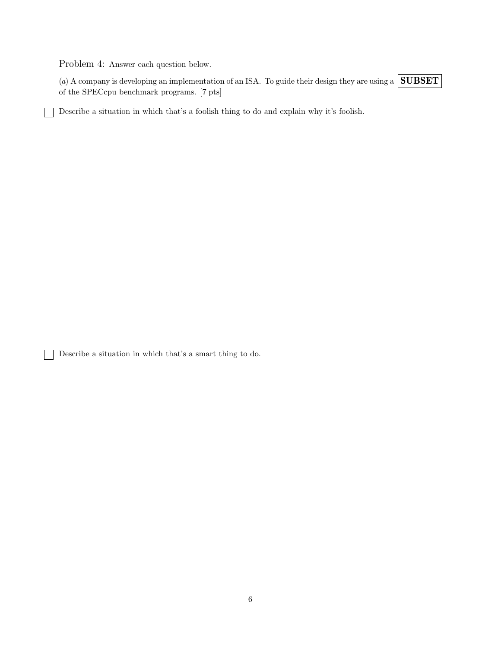Problem 4: Answer each question below.

(*a*) A company is developing an implementation of an ISA. To guide their design they are using a **SUBSET** of the SPECcpu benchmark programs. [7 pts]

Describe a situation in which that's a foolish thing to do and explain why it's foolish.

Describe a situation in which that's a smart thing to do.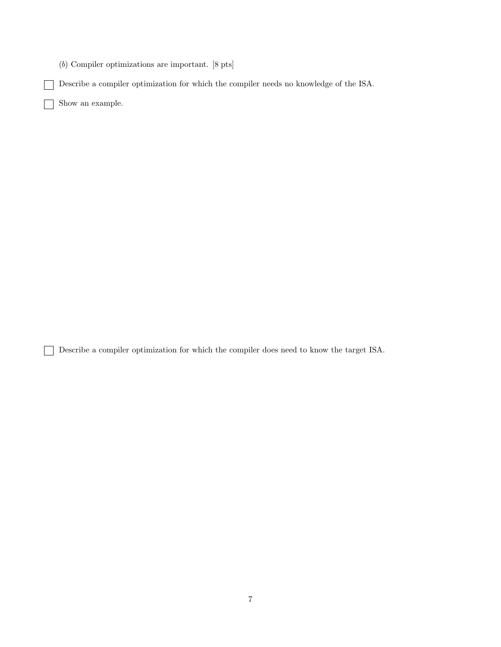(*b*) Compiler optimizations are important. [8 pts]

Describe a compiler optimization for which the compiler needs no knowledge of the ISA.

Show an example.

Г ヿ

Describe a compiler optimization for which the compiler does need to know the target ISA.